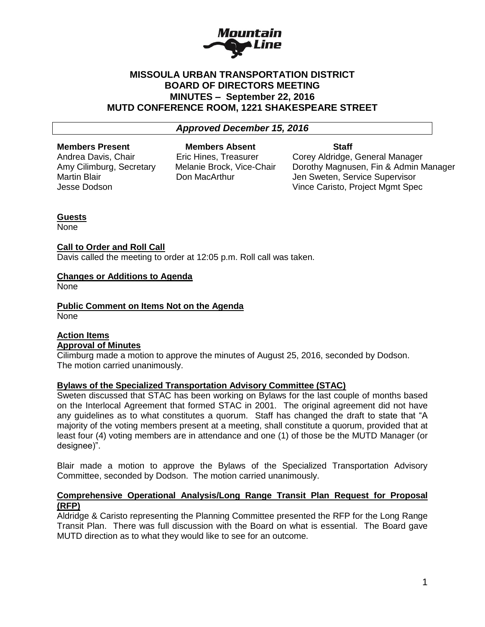

## **MISSOULA URBAN TRANSPORTATION DISTRICT BOARD OF DIRECTORS MEETING MINUTES – September 22, 2016 MUTD CONFERENCE ROOM, 1221 SHAKESPEARE STREET**

#### *Approved December 15, 2016*

**Members Present Members Absent Staff** 

Andrea Davis, Chair **Eric Hines, Treasurer Corey Aldridge, General Manager** Amy Cilimburg, Secretary Melanie Brock, Vice-Chair Dorothy Magnusen, Fin & Admin Manager Martin Blair **Natillian State Connect Act Area Connect** Martin Blair Don MacArthur Jen Sweten, Service Supervisor Jesse Dodson Vince Caristo, Project Mgmt Spec

### **Guests**

None

### **Call to Order and Roll Call**

Davis called the meeting to order at 12:05 p.m. Roll call was taken.

#### **Changes or Additions to Agenda**

None

**Public Comment on Items Not on the Agenda** None

### **Action Items Approval of Minutes**

Cilimburg made a motion to approve the minutes of August 25, 2016, seconded by Dodson. The motion carried unanimously.

## **Bylaws of the Specialized Transportation Advisory Committee (STAC)**

Sweten discussed that STAC has been working on Bylaws for the last couple of months based on the Interlocal Agreement that formed STAC in 2001. The original agreement did not have any guidelines as to what constitutes a quorum. Staff has changed the draft to state that "A majority of the voting members present at a meeting, shall constitute a quorum, provided that at least four (4) voting members are in attendance and one (1) of those be the MUTD Manager (or designee)".

Blair made a motion to approve the Bylaws of the Specialized Transportation Advisory Committee, seconded by Dodson. The motion carried unanimously.

### **Comprehensive Operational Analysis/Long Range Transit Plan Request for Proposal (RFP)**

Aldridge & Caristo representing the Planning Committee presented the RFP for the Long Range Transit Plan. There was full discussion with the Board on what is essential. The Board gave MUTD direction as to what they would like to see for an outcome.